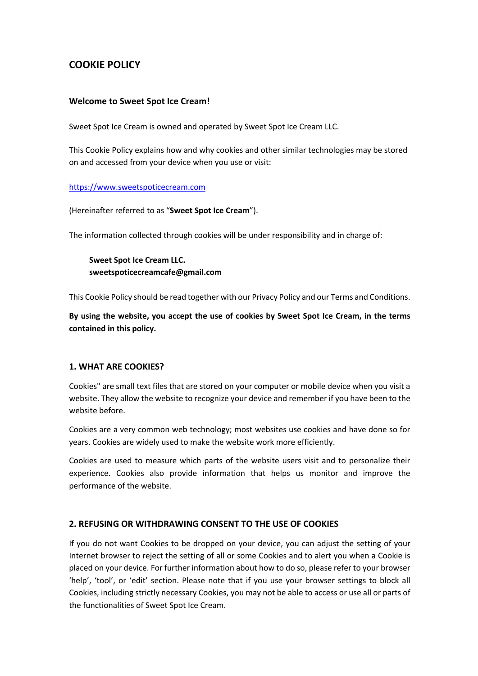# **COOKIE POLICY**

#### **Welcome to Sweet Spot Ice Cream!**

Sweet Spot Ice Cream is owned and operated by Sweet Spot Ice Cream LLC.

This Cookie Policy explains how and why cookies and other similar technologies may be stored on and accessed from your device when you use or visit:

#### https://www.sweetspoticecream.com

(Hereinafter referred to as "**Sweet Spot Ice Cream**").

The information collected through cookies will be under responsibility and in charge of:

**Sweet Spot Ice Cream LLC. sweetspoticecreamcafe@gmail.com**

This Cookie Policy should be read together with our Privacy Policy and our Terms and Conditions.

**By using the website, you accept the use of cookies by Sweet Spot Ice Cream, in the terms contained in this policy.**

#### **1. WHAT ARE COOKIES?**

Cookies" are small text files that are stored on your computer or mobile device when you visit a website. They allow the website to recognize your device and remember if you have been to the website before.

Cookies are a very common web technology; most websites use cookies and have done so for years. Cookies are widely used to make the website work more efficiently.

Cookies are used to measure which parts of the website users visit and to personalize their experience. Cookies also provide information that helps us monitor and improve the performance of the website.

## **2. REFUSING OR WITHDRAWING CONSENT TO THE USE OF COOKIES**

If you do not want Cookies to be dropped on your device, you can adjust the setting of your Internet browser to reject the setting of all or some Cookies and to alert you when a Cookie is placed on your device. For further information about how to do so, please refer to your browser 'help', 'tool', or 'edit' section. Please note that if you use your browser settings to block all Cookies, including strictly necessary Cookies, you may not be able to access or use all or parts of the functionalities of Sweet Spot Ice Cream.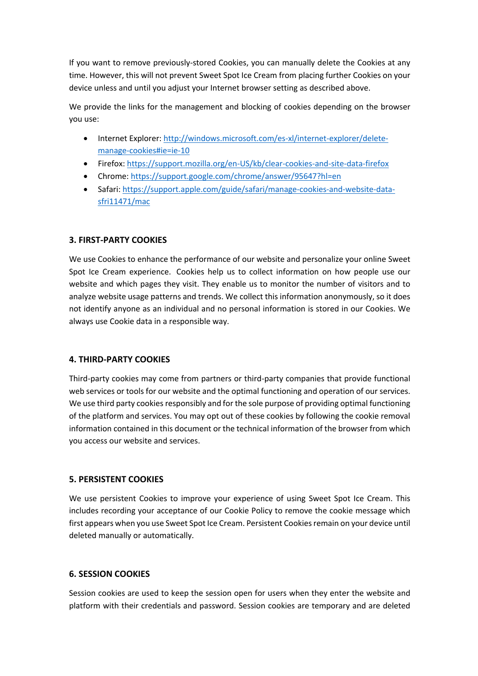If you want to remove previously-stored Cookies, you can manually delete the Cookies at any time. However, this will not prevent Sweet Spot Ice Cream from placing further Cookies on your device unless and until you adjust your Internet browser setting as described above.

We provide the links for the management and blocking of cookies depending on the browser you use:

- Internet Explorer: http://windows.microsoft.com/es-xl/internet-explorer/deletemanage-cookies#ie=ie-10
- Firefox: https://support.mozilla.org/en-US/kb/clear-cookies-and-site-data-firefox
- Chrome: https://support.google.com/chrome/answer/95647?hl=en
- Safari: https://support.apple.com/guide/safari/manage-cookies-and-website-datasfri11471/mac

## **3. FIRST-PARTY COOKIES**

We use Cookies to enhance the performance of our website and personalize your online Sweet Spot Ice Cream experience. Cookies help us to collect information on how people use our website and which pages they visit. They enable us to monitor the number of visitors and to analyze website usage patterns and trends. We collect this information anonymously, so it does not identify anyone as an individual and no personal information is stored in our Cookies. We always use Cookie data in a responsible way.

## **4. THIRD-PARTY COOKIES**

Third-party cookies may come from partners or third-party companies that provide functional web services or tools for our website and the optimal functioning and operation of our services. We use third party cookies responsibly and for the sole purpose of providing optimal functioning of the platform and services. You may opt out of these cookies by following the cookie removal information contained in this document or the technical information of the browser from which you access our website and services.

## **5. PERSISTENT COOKIES**

We use persistent Cookies to improve your experience of using Sweet Spot Ice Cream. This includes recording your acceptance of our Cookie Policy to remove the cookie message which first appears when you use Sweet Spot Ice Cream. Persistent Cookies remain on your device until deleted manually or automatically.

### **6. SESSION COOKIES**

Session cookies are used to keep the session open for users when they enter the website and platform with their credentials and password. Session cookies are temporary and are deleted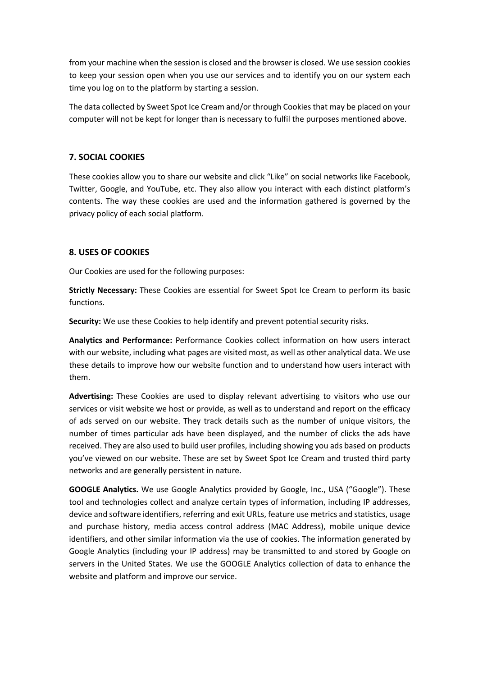from your machine when the session is closed and the browser is closed. We use session cookies to keep your session open when you use our services and to identify you on our system each time you log on to the platform by starting a session.

The data collected by Sweet Spot Ice Cream and/or through Cookies that may be placed on your computer will not be kept for longer than is necessary to fulfil the purposes mentioned above.

## **7. SOCIAL COOKIES**

These cookies allow you to share our website and click "Like" on social networks like Facebook, Twitter, Google, and YouTube, etc. They also allow you interact with each distinct platform's contents. The way these cookies are used and the information gathered is governed by the privacy policy of each social platform.

### **8. USES OF COOKIES**

Our Cookies are used for the following purposes:

**Strictly Necessary:** These Cookies are essential for Sweet Spot Ice Cream to perform its basic functions.

**Security:** We use these Cookies to help identify and prevent potential security risks.

**Analytics and Performance:** Performance Cookies collect information on how users interact with our website, including what pages are visited most, as well as other analytical data. We use these details to improve how our website function and to understand how users interact with them.

**Advertising:** These Cookies are used to display relevant advertising to visitors who use our services or visit website we host or provide, as well as to understand and report on the efficacy of ads served on our website. They track details such as the number of unique visitors, the number of times particular ads have been displayed, and the number of clicks the ads have received. They are also used to build user profiles, including showing you ads based on products you've viewed on our website. These are set by Sweet Spot Ice Cream and trusted third party networks and are generally persistent in nature.

**GOOGLE Analytics.** We use Google Analytics provided by Google, Inc., USA ("Google"). These tool and technologies collect and analyze certain types of information, including IP addresses, device and software identifiers, referring and exit URLs, feature use metrics and statistics, usage and purchase history, media access control address (MAC Address), mobile unique device identifiers, and other similar information via the use of cookies. The information generated by Google Analytics (including your IP address) may be transmitted to and stored by Google on servers in the United States. We use the GOOGLE Analytics collection of data to enhance the website and platform and improve our service.